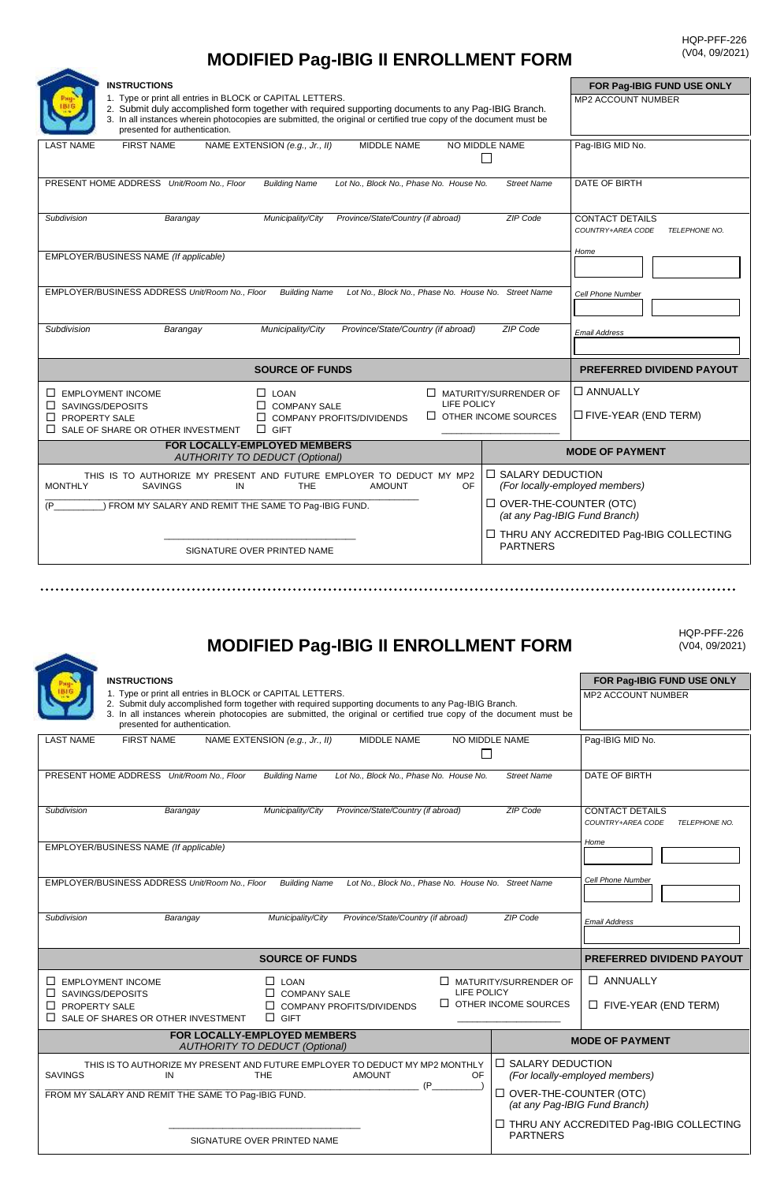## **MODIFIED Pag-IBIG II ENROLLMENT FORM**

**ARK** 

| <b>INSTRUCTIONS</b>                                                                                                                                                                                                                                                                                                      |                                                                   | FOR Pag-IBIG FUND USE ONLY                                   |
|--------------------------------------------------------------------------------------------------------------------------------------------------------------------------------------------------------------------------------------------------------------------------------------------------------------------------|-------------------------------------------------------------------|--------------------------------------------------------------|
| 1. Type or print all entries in BLOCK or CAPITAL LETTERS.<br>2. Submit duly accomplished form together with required supporting documents to any Pag-IBIG Branch.<br>3. In all instances wherein photocopies are submitted, the original or certified true copy of the document must be<br>presented for authentication. | <b>MP2 ACCOUNT NUMBER</b>                                         |                                                              |
| <b>MIDDLE NAME</b><br><b>FIRST NAME</b><br>NAME EXTENSION (e.g., Jr., II)<br><b>LAST NAME</b>                                                                                                                                                                                                                            | NO MIDDLE NAME                                                    | Paq-IBIG MID No.                                             |
| PRESENT HOME ADDRESS Unit/Room No., Floor<br><b>Building Name</b><br>Lot No., Block No., Phase No. House No.                                                                                                                                                                                                             | <b>Street Name</b>                                                | <b>DATE OF BIRTH</b>                                         |
| Province/State/Country (if abroad)<br>Municipality/City<br>Subdivision<br>Barangay                                                                                                                                                                                                                                       | <b>ZIP Code</b>                                                   | <b>CONTACT DETAILS</b><br>COUNTRY+AREA CODE<br>TELEPHONE NO. |
| EMPLOYER/BUSINESS NAME (If applicable)                                                                                                                                                                                                                                                                                   | Home                                                              |                                                              |
| EMPLOYER/BUSINESS ADDRESS Unit/Room No., Floor<br>Lot No., Block No., Phase No. House No. Street Name<br><b>Building Name</b>                                                                                                                                                                                            |                                                                   | Cell Phone Number                                            |
| Subdivision<br>Municipality/City<br>Province/State/Country (if abroad)<br>Barangay                                                                                                                                                                                                                                       | <b>Email Address</b>                                              |                                                              |
| <b>SOURCE OF FUNDS</b>                                                                                                                                                                                                                                                                                                   | <b>PREFERRED DIVIDEND PAYOUT</b>                                  |                                                              |
| $\Box$ EMPLOYMENT INCOME<br>$\Box$ LOAN                                                                                                                                                                                                                                                                                  | $\Box$ MATURITY/SURRENDER OF                                      | $\Box$ ANNUALLY                                              |
| LIFE POLICY<br><b>COMPANY SALE</b><br>SAVINGS/DEPOSITS<br>$\Box$ OTHER INCOME SOURCES<br>PROPERTY SALE<br>COMPANY PROFITS/DIVIDENDS<br>ΙI<br>$\mathsf{L}$<br>SALE OF SHARE OR OTHER INVESTMENT<br>$\Box$ GIFT<br>П                                                                                                       |                                                                   | $\Box$ FIVE-YEAR (END TERM)                                  |
| FOR LOCALLY-EMPLOYED MEMBERS<br><b>AUTHORITY TO DEDUCT (Optional)</b>                                                                                                                                                                                                                                                    |                                                                   | <b>MODE OF PAYMENT</b>                                       |
| THIS IS TO AUTHORIZE MY PRESENT AND FUTURE EMPLOYER TO DEDUCT MY MP2<br><b>MONTHLY</b><br>IN<br>THE<br><b>AMOUNT</b><br>OF.<br>SAVINGS                                                                                                                                                                                   | $\Box$ SALARY DEDUCTION<br>(For locally-employed members)         |                                                              |
| ) FROM MY SALARY AND REMIT THE SAME TO Pag-IBIG FUND.<br>(P)                                                                                                                                                                                                                                                             | <b>ID OVER-THE-COUNTER (OTC)</b><br>(at any Pag-IBIG Fund Branch) |                                                              |
| SIGNATURE OVER PRINTED NAME                                                                                                                                                                                                                                                                                              | <b>PARTNERS</b>                                                   | $\Box$ THRU ANY ACCREDITED Pag-IBIG COLLECTING               |

## **MODIFIED Pag-IBIG II ENROLLMENT FORM**

HQP-PFF-226 (V04, 09/2021)

| <b>MODITICD FagTIDIG II LIVINULLIVILIVI I UINIVI</b>                                                                                                                                                                                                                                                                                            | $ VU+V, UUZUZ $                                                                                                        |                                                                      |
|-------------------------------------------------------------------------------------------------------------------------------------------------------------------------------------------------------------------------------------------------------------------------------------------------------------------------------------------------|------------------------------------------------------------------------------------------------------------------------|----------------------------------------------------------------------|
| <b>INSTRUCTIONS</b><br>1. Type or print all entries in BLOCK or CAPITAL LETTERS.<br>2. Submit duly accomplished form together with required supporting documents to any Pag-IBIG Branch.<br>3. In all instances wherein photocopies are submitted, the original or certified true copy of the document must be<br>presented for authentication. | FOR Pag-IBIG FUND USE ONLY<br><b>MP2 ACCOUNT NUMBER</b>                                                                |                                                                      |
| <b>FIRST NAME</b><br>NAME EXTENSION (e.g., Jr., II)<br><b>MIDDLE NAME</b><br>NO MIDDLE NAME<br><b>LAST NAME</b><br>П                                                                                                                                                                                                                            |                                                                                                                        | Pag-IBIG MID No.                                                     |
| PRESENT HOME ADDRESS Unit/Room No., Floor<br>Lot No., Block No., Phase No. House No.<br><b>Building Name</b>                                                                                                                                                                                                                                    | <b>Street Name</b>                                                                                                     | <b>DATE OF BIRTH</b>                                                 |
| Province/State/Country (if abroad)<br>ZIP Code<br>Subdivision<br>Municipality/City<br>Barangay                                                                                                                                                                                                                                                  |                                                                                                                        | <b>CONTACT DETAILS</b><br>COUNTRY+AREA CODE<br>TELEPHONE NO.<br>Home |
| EMPLOYER/BUSINESS NAME (If applicable)                                                                                                                                                                                                                                                                                                          |                                                                                                                        |                                                                      |
| EMPLOYER/BUSINESS ADDRESS Unit/Room No., Floor<br><b>Building Name</b><br>Lot No., Block No., Phase No. House No. Street Name                                                                                                                                                                                                                   | Cell Phone Number                                                                                                      |                                                                      |
| Municipality/City<br>Province/State/Country (if abroad)<br>Subdivision<br>Barangay                                                                                                                                                                                                                                                              | ZIP Code                                                                                                               | <b>Email Address</b>                                                 |
| <b>SOURCE OF FUNDS</b>                                                                                                                                                                                                                                                                                                                          |                                                                                                                        | PREFERRED DIVIDEND PAYOUT                                            |
| $\square$ EMPLOYMENT INCOME<br>$\Box$ LOAN<br>$\Box$ MATURITY/SURRENDER OF<br>LIFE POLICY<br>$\Box$ SAVINGS/DEPOSITS<br>$\Box$ COMPANY SALE<br>$\Box$ OTHER INCOME SOURCES<br>$\Box$ PROPERTY SALE<br>$\Box$ COMPANY PROFITS/DIVIDENDS<br>$\Box$ GIFT<br>$\Box$ SALE OF SHARES OR OTHER INVESTMENT                                              |                                                                                                                        | <b>D</b> ANNUALLY<br>$\Box$ FIVE-YEAR (END TERM)                     |
| FOR LOCALLY-EMPLOYED MEMBERS<br><b>AUTHORITY TO DEDUCT (Optional)</b>                                                                                                                                                                                                                                                                           |                                                                                                                        | <b>MODE OF PAYMENT</b>                                               |
| THIS IS TO AUTHORIZE MY PRESENT AND FUTURE EMPLOYER TO DEDUCT MY MP2 MONTHLY<br><b>SAVINGS</b><br><b>THE</b><br><b>AMOUNT</b><br><b>OF</b><br>IN<br>(P)<br>FROM MY SALARY AND REMIT THE SAME TO Pag-IBIG FUND.                                                                                                                                  | □ SALARY DEDUCTION<br>(For locally-employed members)<br>$\Box$ OVER-THE-COUNTER (OTC)<br>(at any Pag-IBIG Fund Branch) |                                                                      |
| SIGNATURE OVER PRINTED NAME                                                                                                                                                                                                                                                                                                                     | <b>PARTNERS</b>                                                                                                        | □ THRU ANY ACCREDITED Pag-IBIG COLLECTING                            |